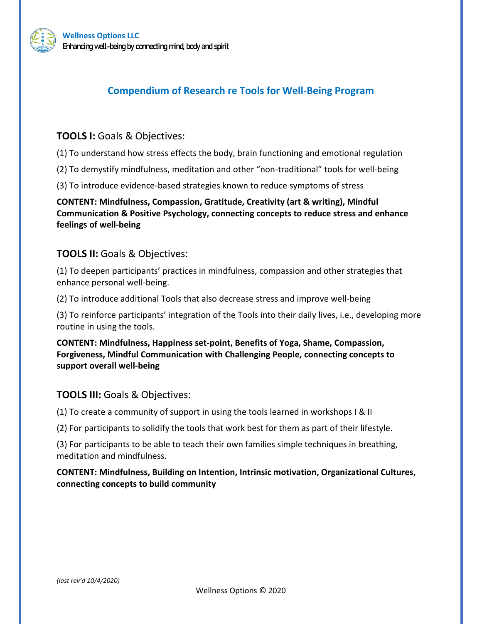



# **Compendium of Research re Tools for Well-Being Program**

## **TOOLS I:** Goals & Objectives:

(1) To understand how stress effects the body, brain functioning and emotional regulation

(2) To demystify mindfulness, meditation and other "non-traditional" tools for well-being

(3) To introduce evidence-based strategies known to reduce symptoms of stress

**CONTENT: Mindfulness, Compassion, Gratitude, Creativity (art & writing), Mindful Communication & Positive Psychology, connecting concepts to reduce stress and enhance feelings of well-being**

## **TOOLS II:** Goals & Objectives:

(1) To deepen participants' practices in mindfulness, compassion and other strategies that enhance personal well-being.

(2) To introduce additional Tools that also decrease stress and improve well-being

(3) To reinforce participants' integration of the Tools into their daily lives, i.e., developing more routine in using the tools.

**CONTENT: Mindfulness, Happiness set-point, Benefits of Yoga, Shame, Compassion, Forgiveness, Mindful Communication with Challenging People, connecting concepts to support overall well-being**

## **TOOLS III:** Goals & Objectives:

(1) To create a community of support in using the tools learned in workshops I & II

(2) For participants to solidify the tools that work best for them as part of their lifestyle.

(3) For participants to be able to teach their own families simple techniques in breathing, meditation and mindfulness.

## **CONTENT: Mindfulness, Building on Intention, Intrinsic motivation, Organizational Cultures, connecting concepts to build community**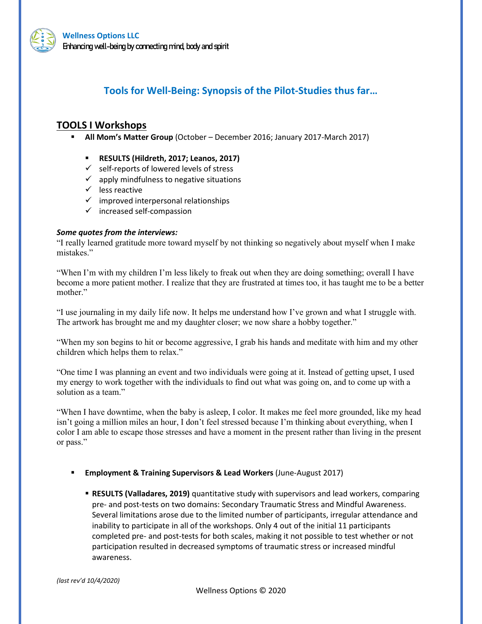

# **Tools for Well-Being: Synopsis of the Pilot-Studies thus far…**

## **TOOLS I Workshops**

- **All Mom's Matter Group** (October December 2016; January 2017-March 2017)
	- **RESULTS (Hildreth, 2017; Leanos, 2017)**
	- $\checkmark$  self-reports of lowered levels of stress
	- $\checkmark$  apply mindfulness to negative situations
	- $\checkmark$  less reactive
	- $\checkmark$  improved interpersonal relationships
	- $\checkmark$  increased self-compassion

### *Some quotes from the interviews:*

"I really learned gratitude more toward myself by not thinking so negatively about myself when I make mistakes."

"When I'm with my children I'm less likely to freak out when they are doing something; overall I have become a more patient mother. I realize that they are frustrated at times too, it has taught me to be a better mother."

"I use journaling in my daily life now. It helps me understand how I've grown and what I struggle with. The artwork has brought me and my daughter closer; we now share a hobby together."

"When my son begins to hit or become aggressive, I grab his hands and meditate with him and my other children which helps them to relax."

"One time I was planning an event and two individuals were going at it. Instead of getting upset, I used my energy to work together with the individuals to find out what was going on, and to come up with a solution as a team."

"When I have downtime, when the baby is asleep, I color. It makes me feel more grounded, like my head isn't going a million miles an hour, I don't feel stressed because I'm thinking about everything, when I color I am able to escape those stresses and have a moment in the present rather than living in the present or pass."

- **Employment & Training Supervisors & Lead Workers** (June-August 2017)
	- **RESULTS (Valladares, 2019)** quantitative study with supervisors and lead workers, comparing pre- and post-tests on two domains: Secondary Traumatic Stress and Mindful Awareness. Several limitations arose due to the limited number of participants, irregular attendance and inability to participate in all of the workshops. Only 4 out of the initial 11 participants completed pre- and post-tests for both scales, making it not possible to test whether or not participation resulted in decreased symptoms of traumatic stress or increased mindful awareness.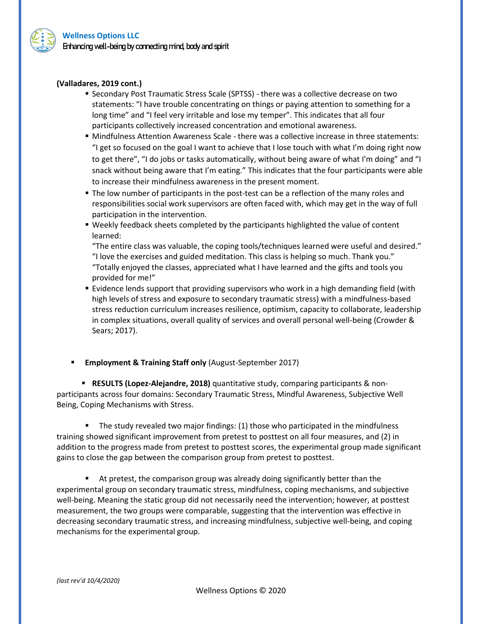

### **(Valladares, 2019 cont.)**

- Secondary Post Traumatic Stress Scale (SPTSS) there was a collective decrease on two statements: "I have trouble concentrating on things or paying attention to something for a long time" and "I feel very irritable and lose my temper". This indicates that all four participants collectively increased concentration and emotional awareness.
- Mindfulness Attention Awareness Scale there was a collective increase in three statements: "I get so focused on the goal I want to achieve that I lose touch with what I'm doing right now to get there", "I do jobs or tasks automatically, without being aware of what I'm doing" and "I snack without being aware that I'm eating." This indicates that the four participants were able to increase their mindfulness awareness in the present moment.
- The low number of participants in the post-test can be a reflection of the many roles and responsibilities social work supervisors are often faced with, which may get in the way of full participation in the intervention.
- Weekly feedback sheets completed by the participants highlighted the value of content learned:

"The entire class was valuable, the coping tools/techniques learned were useful and desired." "I love the exercises and guided meditation. This class is helping so much. Thank you." "Totally enjoyed the classes, appreciated what I have learned and the gifts and tools you provided for me!"

- Evidence lends support that providing supervisors who work in a high demanding field (with high levels of stress and exposure to secondary traumatic stress) with a mindfulness-based stress reduction curriculum increases resilience, optimism, capacity to collaborate, leadership in complex situations, overall quality of services and overall personal well-being (Crowder & Sears; 2017).
- **Employment & Training Staff only** (August-September 2017)

 **RESULTS (Lopez-Alejandre, 2018)** quantitative study, comparing participants & nonparticipants across four domains: Secondary Traumatic Stress, Mindful Awareness, Subjective Well Being, Coping Mechanisms with Stress.

 The study revealed two major findings: (1) those who participated in the mindfulness training showed significant improvement from pretest to posttest on all four measures, and (2) in addition to the progress made from pretest to posttest scores, the experimental group made significant gains to close the gap between the comparison group from pretest to posttest.

 At pretest, the comparison group was already doing significantly better than the experimental group on secondary traumatic stress, mindfulness, coping mechanisms, and subjective well-being. Meaning the static group did not necessarily need the intervention; however, at posttest measurement, the two groups were comparable, suggesting that the intervention was effective in decreasing secondary traumatic stress, and increasing mindfulness, subjective well-being, and coping mechanisms for the experimental group.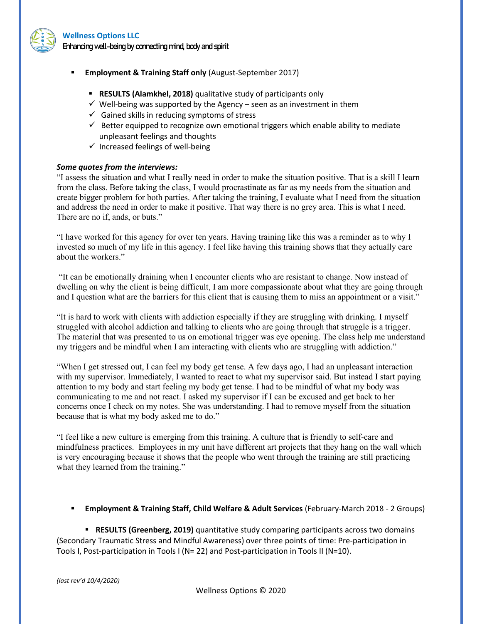

#### **Wellness Options LLC**

Enhancing well-being by connecting mind, body and spirit

- **Employment & Training Staff only** (August-September 2017)
	- **RESULTS (Alamkhel, 2018)** qualitative study of participants only
	- $\checkmark$  Well-being was supported by the Agency seen as an investment in them
	- $\checkmark$  Gained skills in reducing symptoms of stress
	- $\checkmark$  Better equipped to recognize own emotional triggers which enable ability to mediate unpleasant feelings and thoughts
	- $\checkmark$  Increased feelings of well-being

### *Some quotes from the interviews:*

"I assess the situation and what I really need in order to make the situation positive. That is a skill I learn from the class. Before taking the class, I would procrastinate as far as my needs from the situation and create bigger problem for both parties. After taking the training, I evaluate what I need from the situation and address the need in order to make it positive. That way there is no grey area. This is what I need. There are no if, ands, or buts."

"I have worked for this agency for over ten years. Having training like this was a reminder as to why I invested so much of my life in this agency. I feel like having this training shows that they actually care about the workers."

"It can be emotionally draining when I encounter clients who are resistant to change. Now instead of dwelling on why the client is being difficult, I am more compassionate about what they are going through and I question what are the barriers for this client that is causing them to miss an appointment or a visit."

"It is hard to work with clients with addiction especially if they are struggling with drinking. I myself struggled with alcohol addiction and talking to clients who are going through that struggle is a trigger. The material that was presented to us on emotional trigger was eye opening. The class help me understand my triggers and be mindful when I am interacting with clients who are struggling with addiction."

"When I get stressed out, I can feel my body get tense. A few days ago, I had an unpleasant interaction with my supervisor. Immediately, I wanted to react to what my supervisor said. But instead I start paying attention to my body and start feeling my body get tense. I had to be mindful of what my body was communicating to me and not react. I asked my supervisor if I can be excused and get back to her concerns once I check on my notes. She was understanding. I had to remove myself from the situation because that is what my body asked me to do."

"I feel like a new culture is emerging from this training. A culture that is friendly to self-care and mindfulness practices. Employees in my unit have different art projects that they hang on the wall which is very encouraging because it shows that the people who went through the training are still practicing what they learned from the training."

### **Employment & Training Staff, Child Welfare & Adult Services** (February-March 2018 - 2 Groups)

 **RESULTS (Greenberg, 2019)** quantitative study comparing participants across two domains (Secondary Traumatic Stress and Mindful Awareness) over three points of time: Pre-participation in Tools I, Post-participation in Tools I (N= 22) and Post-participation in Tools II (N=10).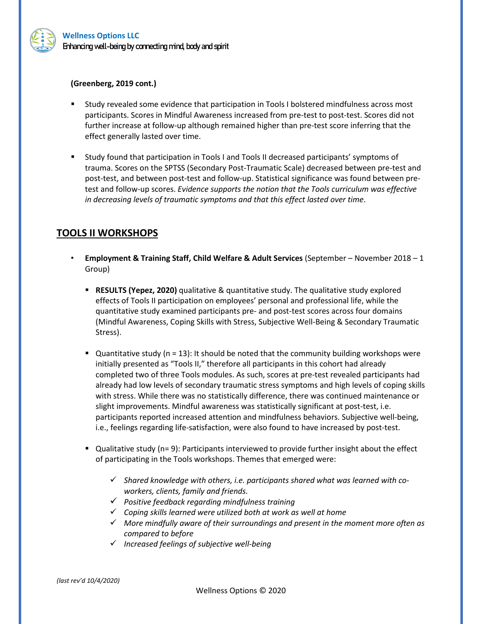

### **(Greenberg, 2019 cont.)**

- Study revealed some evidence that participation in Tools I bolstered mindfulness across most participants. Scores in Mindful Awareness increased from pre-test to post-test. Scores did not further increase at follow-up although remained higher than pre-test score inferring that the effect generally lasted over time.
- Study found that participation in Tools I and Tools II decreased participants' symptoms of trauma. Scores on the SPTSS (Secondary Post-Traumatic Scale) decreased between pre-test and post-test, and between post-test and follow-up. Statistical significance was found between pretest and follow-up scores. *Evidence supports the notion that the Tools curriculum was effective in decreasing levels of traumatic symptoms and that this effect lasted over time*.

# **TOOLS II WORKSHOPS**

- **Employment & Training Staff, Child Welfare & Adult Services** (September November 2018 1 Group)
	- **RESULTS (Yepez, 2020)** qualitative & quantitative study. The qualitative study explored effects of Tools II participation on employees' personal and professional life, while the quantitative study examined participants pre- and post-test scores across four domains (Mindful Awareness, Coping Skills with Stress, Subjective Well-Being & Secondary Traumatic Stress).
	- $\blacksquare$  Quantitative study (n = 13): It should be noted that the community building workshops were initially presented as "Tools II," therefore all participants in this cohort had already completed two of three Tools modules. As such, scores at pre-test revealed participants had already had low levels of secondary traumatic stress symptoms and high levels of coping skills with stress. While there was no statistically difference, there was continued maintenance or slight improvements. Mindful awareness was statistically significant at post-test, i.e. participants reported increased attention and mindfulness behaviors. Subjective well-being, i.e., feelings regarding life-satisfaction, were also found to have increased by post-test.
	- Qualitative study (n= 9): Participants interviewed to provide further insight about the effect of participating in the Tools workshops. Themes that emerged were:
		- *Shared knowledge with others, i.e. participants shared what was learned with coworkers, clients, family and friends.*
		- *Positive feedback regarding mindfulness training*
		- *Coping skills learned were utilized both at work as well at home*
		- *More mindfully aware of their surroundings and present in the moment more often as compared to before*
		- *Increased feelings of subjective well-being*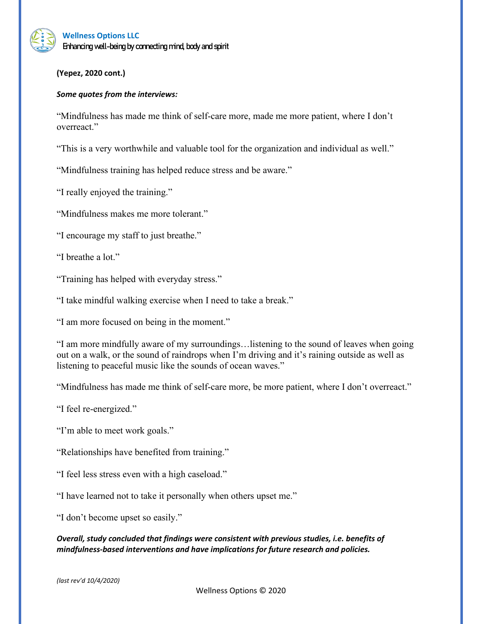### **Wellness Options LLC** Enhancing well-being by connecting mind, body and spirit

**(Yepez, 2020 cont.)**

### *Some quotes from the interviews:*

"Mindfulness has made me think of self-care more, made me more patient, where I don't overreact."

"This is a very worthwhile and valuable tool for the organization and individual as well."

"Mindfulness training has helped reduce stress and be aware."

"I really enjoyed the training."

"Mindfulness makes me more tolerant."

"I encourage my staff to just breathe."

"I breathe a lot."

"Training has helped with everyday stress."

"I take mindful walking exercise when I need to take a break."

"I am more focused on being in the moment."

"I am more mindfully aware of my surroundings…listening to the sound of leaves when going out on a walk, or the sound of raindrops when I'm driving and it's raining outside as well as listening to peaceful music like the sounds of ocean waves."

"Mindfulness has made me think of self-care more, be more patient, where I don't overreact."

"I feel re-energized."

"I'm able to meet work goals."

"Relationships have benefited from training."

"I feel less stress even with a high caseload."

"I have learned not to take it personally when others upset me."

"I don't become upset so easily."

*Overall, study concluded that findings were consistent with previous studies, i.e. benefits of mindfulness-based interventions and have implications for future research and policies.*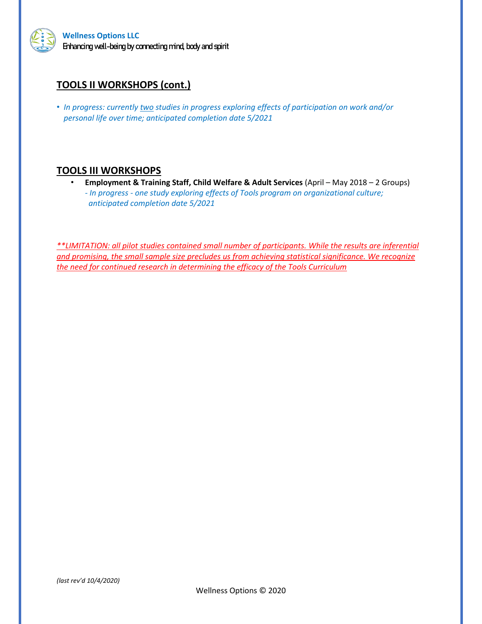

# **TOOLS II WORKSHOPS (cont.)**

• *In progress: currently two studies in progress exploring effects of participation on work and/or personal life over time; anticipated completion date 5/2021*

# **TOOLS III WORKSHOPS**

• **Employment & Training Staff, Child Welfare & Adult Services** (April – May 2018 – 2 Groups) *- In progress - one study exploring effects of Tools program on organizational culture; anticipated completion date 5/2021*

*\*\*LIMITATION: all pilot studies contained small number of participants. While the results are inferential and promising, the small sample size precludes us from achieving statistical significance. We recognize the need for continued research in determining the efficacy of the Tools Curriculum*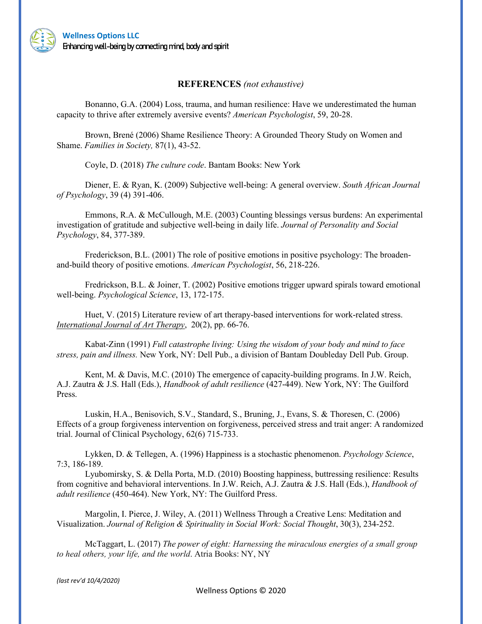

### **REFERENCES** *(not exhaustive)*

Bonanno, G.A. (2004) Loss, trauma, and human resilience: Have we underestimated the human capacity to thrive after extremely aversive events? *American Psychologist*, 59, 20-28.

[Brown, Brené](https://search-proquest-com.libproxy.csustan.edu/psycinfo/indexinglinkhandler/sng/au/Brown,+Bren$e9/$N?accountid=10364) (2006) Shame Resilience Theory: A Grounded Theory Study on Women and Shame. *[Families in Society,](https://search-proquest-com.libproxy.csustan.edu/psycinfo/pubidlinkhandler/sng/pubtitle/Families+in+Society/$N?accountid=10364)* [87\(1\),](https://search-proquest-com.libproxy.csustan.edu/psycinfo/indexingvolumeissuelinkhandler/23494/Families+in+Society/02006Y01Y01$23Jan+2006+-+Mar+2006$3b++Vol.+87+$281$29/87/1?accountid=10364) 43-52.

Coyle, D. (2018) *The culture code*. Bantam Books: New York

Diener, E. & Ryan, K. (2009) Subjective well-being: A general overview. *South African Journal of Psychology*, 39 (4) 391-406.

Emmons, R.A. & McCullough, M.E. (2003) Counting blessings versus burdens: An experimental investigation of gratitude and subjective well-being in daily life. *Journal of Personality and Social Psychology*, 84, 377-389.

Frederickson, B.L. (2001) The role of positive emotions in positive psychology: The broadenand-build theory of positive emotions. *American Psychologist*, 56, 218-226.

Fredrickson, B.L. & Joiner, T. (2002) Positive emotions trigger upward spirals toward emotional well-being. *Psychological Science*, 13, 172-175.

Huet, V. (2015) Literature review of art therapy-based interventions for work-related stress. *[International](javascript:__doLinkPostBack() Journal of Art Therapy*, 20(2), pp. 66-76.

Kabat-Zinn (1991) *Full catastrophe living: Using the wisdom of your body and mind to face stress, pain and illness.* New York, NY: Dell Pub., a division of Bantam Doubleday Dell Pub. Group.

Kent, M. & Davis, M.C. (2010) The emergence of capacity-building programs. In J.W. Reich, A.J. Zautra & J.S. Hall (Eds.), *Handbook of adult resilience* (427-449). New York, NY: The Guilford Press.

Luskin, H.A., Benisovich, S.V., Standard, S., Bruning, J., Evans, S. & Thoresen, C. (2006) Effects of a group forgiveness intervention on forgiveness, perceived stress and trait anger: A randomized trial. Journal of Clinical Psychology, 62(6) 715-733.

Lykken, D. & Tellegen, A. (1996) Happiness is a stochastic phenomenon. *Psychology Science*, 7:3, 186-189.

Lyubomirsky, S. & Della Porta, M.D. (2010) Boosting happiness, buttressing resilience: Results from cognitive and behavioral interventions. In J.W. Reich, A.J. Zautra & J.S. Hall (Eds.), *Handbook of adult resilience* (450-464). New York, NY: The Guilford Press.

Margolin, I. Pierce, J. Wiley, A. (2011) Wellness Through a Creative Lens: Meditation and Visualization. *Journal of Religion & Spirituality in Social Work: Social Thought*, 30(3), 234-252.

McTaggart, L. (2017) *The power of eight: Harnessing the miraculous energies of a small group to heal others, your life, and the world*. Atria Books: NY, NY